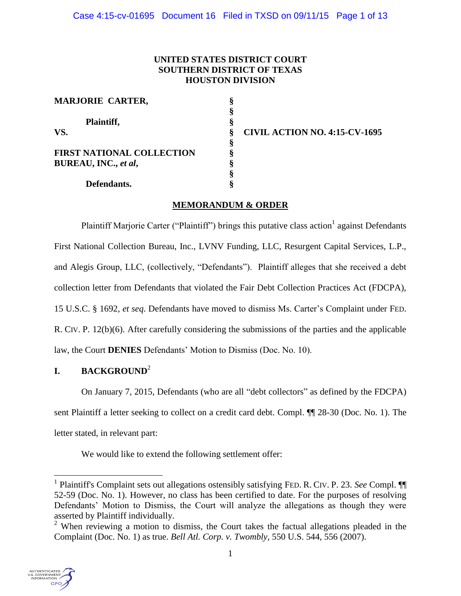# **UNITED STATES DISTRICT COURT SOUTHERN DISTRICT OF TEXAS HOUSTON DIVISION**

| <b>MARJORIE CARTER,</b>          | § |
|----------------------------------|---|
|                                  | ş |
| Plaintiff,                       | ş |
| VS.                              | ş |
|                                  | ş |
| <b>FIRST NATIONAL COLLECTION</b> | § |
| BUREAU, INC., et al,             | ş |
|                                  | ş |
| Defendants.                      | s |

**VS. CIVIL ACTION NO. 4:15-CV-1695**

# **MEMORANDUM & ORDER**

Plaintiff Marjorie Carter ("Plaintiff") brings this putative class action <sup>1</sup> against Defendants First National Collection Bureau, Inc., LVNV Funding, LLC, Resurgent Capital Services, L.P., and Alegis Group, LLC, (collectively, "Defendants"). Plaintiff alleges that she received a debt collection letter from Defendants that violated the Fair Debt Collection Practices Act (FDCPA), 15 U.S.C. § 1692, *et seq*. Defendants have moved to dismiss Ms. Carter's Complaint under FED. R. CIV. P. 12(b)(6). After carefully considering the submissions of the parties and the applicable law, the Court **DENIES** Defendants' Motion to Dismiss (Doc. No. 10).

# **I. BACKGROUND**<sup>2</sup>

On January 7, 2015, Defendants (who are all "debt collectors" as defined by the FDCPA) sent Plaintiff a letter seeking to collect on a credit card debt. Compl. ¶¶ 28-30 (Doc. No. 1). The letter stated, in relevant part:

We would like to extend the following settlement offer:

<sup>&</sup>lt;sup>2</sup> When reviewing a motion to dismiss, the Court takes the factual allegations pleaded in the Complaint (Doc. No. 1) as true. *Bell Atl. Corp. v. Twombly*, 550 U.S. 544, 556 (2007).



<sup>&</sup>lt;sup>1</sup> Plaintiff's Complaint sets out allegations ostensibly satisfying FED. R. CIV. P. 23. See Compl. <sup>[9]</sup> 52-59 (Doc. No. 1). However, no class has been certified to date. For the purposes of resolving Defendants' Motion to Dismiss, the Court will analyze the allegations as though they were asserted by Plaintiff individually.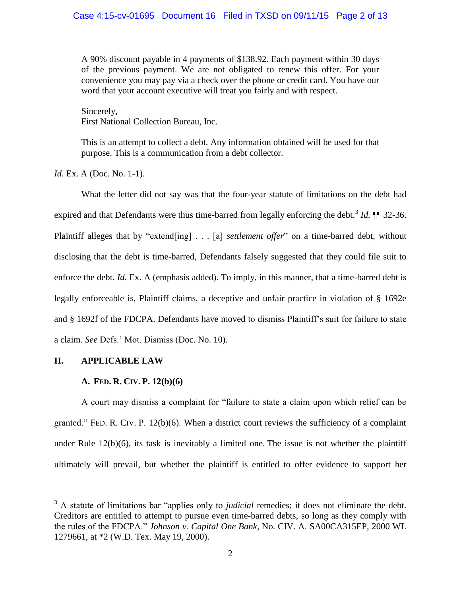A 90% discount payable in 4 payments of \$138.92. Each payment within 30 days of the previous payment. We are not obligated to renew this offer. For your convenience you may pay via a check over the phone or credit card. You have our word that your account executive will treat you fairly and with respect.

Sincerely, First National Collection Bureau, Inc.

This is an attempt to collect a debt. Any information obtained will be used for that purpose. This is a communication from a debt collector.

*Id.* Ex. A (Doc. No. 1-1).

What the letter did not say was that the four-year statute of limitations on the debt had expired and that Defendants were thus time-barred from legally enforcing the debt.<sup>3</sup> *Id.*  $\P$  32-36. Plaintiff alleges that by "extend[ing] . . . [a] *settlement offer*" on a time-barred debt, without disclosing that the debt is time-barred, Defendants falsely suggested that they could file suit to enforce the debt. *Id.* Ex. A (emphasis added). To imply, in this manner, that a time-barred debt is legally enforceable is, Plaintiff claims, a deceptive and unfair practice in violation of § 1692e and § 1692f of the FDCPA. Defendants have moved to dismiss Plaintiff's suit for failure to state a claim. *See* Defs.' Mot. Dismiss (Doc. No. 10).

# **II. APPLICABLE LAW**

 $\overline{a}$ 

# **A. FED. R. CIV. P. 12(b)(6)**

A court may dismiss a complaint for "failure to state a claim upon which relief can be granted." FED. R. CIV. P. 12(b)(6). When a district court reviews the sufficiency of a complaint under Rule  $12(b)(6)$ , its task is inevitably a limited one. The issue is not whether the plaintiff ultimately will prevail, but whether the plaintiff is entitled to offer evidence to support her

<sup>&</sup>lt;sup>3</sup> A statute of limitations bar "applies only to *judicial* remedies; it does not eliminate the debt. Creditors are entitled to attempt to pursue even time-barred debts, so long as they comply with the rules of the FDCPA." *Johnson v. Capital One Bank*, No. CIV. A. SA00CA315EP, 2000 WL 1279661, at \*2 (W.D. Tex. May 19, 2000).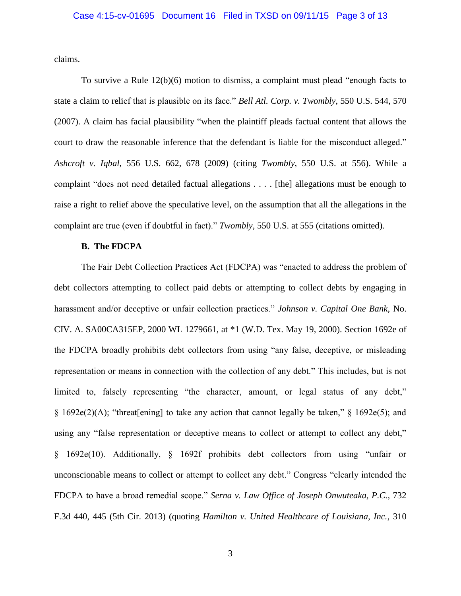claims.

To survive a Rule 12(b)(6) motion to dismiss, a complaint must plead "enough facts to state a claim to relief that is plausible on its face." *Bell Atl. Corp. v. Twombly*, 550 U.S. 544, 570 (2007). A claim has facial plausibility "when the plaintiff pleads factual content that allows the court to draw the reasonable inference that the defendant is liable for the misconduct alleged." *Ashcroft v. Iqbal*, 556 U.S. 662, 678 (2009) (citing *Twombly*, 550 U.S. at 556). While a complaint "does not need detailed factual allegations . . . . [the] allegations must be enough to raise a right to relief above the speculative level, on the assumption that all the allegations in the complaint are true (even if doubtful in fact)." *Twombly*, 550 U.S. at 555 (citations omitted).

#### **B. The FDCPA**

The Fair Debt Collection Practices Act (FDCPA) was "enacted to address the problem of debt collectors attempting to collect paid debts or attempting to collect debts by engaging in harassment and/or deceptive or unfair collection practices." *Johnson v. Capital One Bank*, No. CIV. A. SA00CA315EP, 2000 WL 1279661, at \*1 (W.D. Tex. May 19, 2000). Section 1692e of the FDCPA broadly prohibits debt collectors from using "any false, deceptive, or misleading representation or means in connection with the collection of any debt." This includes, but is not limited to, falsely representing "the character, amount, or legal status of any debt,"  $§$  1692e(2)(A); "threat[ening] to take any action that cannot legally be taken,"  $§$  1692e(5); and using any "false representation or deceptive means to collect or attempt to collect any debt," § 1692e(10). Additionally, § 1692f prohibits debt collectors from using "unfair or unconscionable means to collect or attempt to collect any debt." Congress "clearly intended the FDCPA to have a broad remedial scope." *Serna v. Law Office of Joseph Onwuteaka, P.C.*, 732 F.3d 440, 445 (5th Cir. 2013) (quoting *Hamilton v. United Healthcare of Louisiana, Inc.*, 310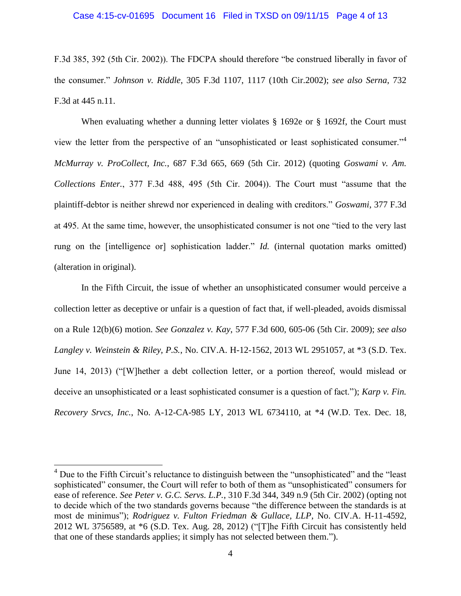F.3d 385, 392 (5th Cir. 2002)). The FDCPA should therefore "be construed liberally in favor of the consumer." *Johnson v. Riddle*, 305 F.3d 1107, 1117 (10th Cir.2002); *see also Serna*, 732 F.3d at 445 n.11.

When evaluating whether a dunning letter violates § 1692e or § 1692f, the Court must view the letter from the perspective of an "unsophisticated or least sophisticated consumer."<sup>4</sup> *McMurray v. ProCollect, Inc.*, 687 F.3d 665, 669 (5th Cir. 2012) (quoting *Goswami v. Am. Collections Enter.*, 377 F.3d 488, 495 (5th Cir. 2004)). The Court must "assume that the plaintiff-debtor is neither shrewd nor experienced in dealing with creditors." *Goswami*, 377 F.3d at 495. At the same time, however, the unsophisticated consumer is not one "tied to the very last rung on the [intelligence or] sophistication ladder." *Id.* (internal quotation marks omitted) (alteration in original).

In the Fifth Circuit, the issue of whether an unsophisticated consumer would perceive a collection letter as deceptive or unfair is a question of fact that, if well-pleaded, avoids dismissal on a Rule 12(b)(6) motion. *See Gonzalez v. Kay*, 577 F.3d 600, 605-06 (5th Cir. 2009); *see also Langley v. Weinstein & Riley, P.S.*, No. CIV.A. H-12-1562, 2013 WL 2951057, at \*3 (S.D. Tex. June 14, 2013) ("[W]hether a debt collection letter, or a portion thereof, would mislead or deceive an unsophisticated or a least sophisticated consumer is a question of fact."); *Karp v. Fin. Recovery Srvcs, Inc.*, No. A-12-CA-985 LY, 2013 WL 6734110, at \*4 (W.D. Tex. Dec. 18,

<sup>&</sup>lt;sup>4</sup> Due to the Fifth Circuit's reluctance to distinguish between the "unsophisticated" and the "least" sophisticated" consumer, the Court will refer to both of them as "unsophisticated" consumers for ease of reference. *See Peter v. G.C. Servs. L.P.*, 310 F.3d 344, 349 n.9 (5th Cir. 2002) (opting not to decide which of the two standards governs because "the difference between the standards is at most de minimus"); *Rodriguez v. Fulton Friedman & Gullace, LLP*, No. CIV.A. H-11-4592, 2012 WL 3756589, at \*6 (S.D. Tex. Aug. 28, 2012) ("[T]he Fifth Circuit has consistently held that one of these standards applies; it simply has not selected between them.").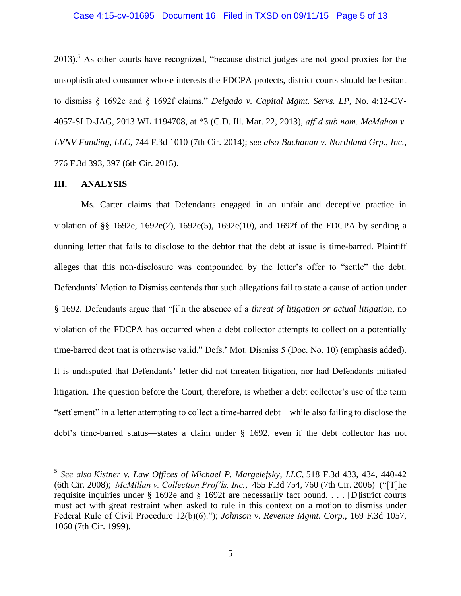### Case 4:15-cv-01695 Document 16 Filed in TXSD on 09/11/15 Page 5 of 13

2013).<sup>5</sup> As other courts have recognized, "because district judges are not good proxies for the unsophisticated consumer whose interests the FDCPA protects, district courts should be hesitant to dismiss § 1692e and § 1692f claims." *Delgado v. Capital Mgmt. Servs. LP*, No. 4:12-CV-4057-SLD-JAG, 2013 WL 1194708, at \*3 (C.D. Ill. Mar. 22, 2013), *aff'd sub nom. McMahon v. LVNV Funding, LLC*, 744 F.3d 1010 (7th Cir. 2014); *see also Buchanan v. Northland Grp., Inc.*, 776 F.3d 393, 397 (6th Cir. 2015).

## **III. ANALYSIS**

Ms. Carter claims that Defendants engaged in an unfair and deceptive practice in violation of §§ 1692e, 1692e(2), 1692e(5), 1692e(10), and 1692f of the FDCPA by sending a dunning letter that fails to disclose to the debtor that the debt at issue is time-barred. Plaintiff alleges that this non-disclosure was compounded by the letter's offer to "settle" the debt. Defendants' Motion to Dismiss contends that such allegations fail to state a cause of action under § 1692. Defendants argue that "[i]n the absence of a *threat of litigation or actual litigation*, no violation of the FDCPA has occurred when a debt collector attempts to collect on a potentially time-barred debt that is otherwise valid." Defs.' Mot. Dismiss 5 (Doc. No. 10) (emphasis added). It is undisputed that Defendants' letter did not threaten litigation, nor had Defendants initiated litigation. The question before the Court, therefore, is whether a debt collector's use of the term "settlement" in a letter attempting to collect a time-barred debt—while also failing to disclose the debt's time-barred status—states a claim under § 1692, even if the debt collector has not

 5 *See also [Kistner v. Law Offices of Michael P. Margelefsky,](https://a.next.westlaw.com/Link/Document/FullText?findType=Y&serNum=2015331885&pubNum=506&originatingDoc=I12c6b7b7d7bd11e28502bda794601919&refType=RP&fi=co_pp_sp_506_434&originationContext=document&transitionType=DocumentItem&contextData=(sc.Search)#co_pp_sp_506_434) LLC*, 518 F.3d 433, 434, 440-42 (6th Cir. 2008); *[McMillan v. Collection Prof'ls, Inc.](https://a.next.westlaw.com/Link/Document/FullText?findType=Y&serNum=2009514786&pubNum=506&originatingDoc=Iedb884d3960211e2981ea20c4f198a69&refType=RP&fi=co_pp_sp_506_760&originationContext=document&transitionType=DocumentItem&contextData=(sc.UserEnteredCitation)#co_pp_sp_506_760)*, 455 F.3d 754, 760 (7th Cir. 2006) ("[T]he requisite inquiries under § 1692e and § 1692f are necessarily fact bound. . . . [D]istrict courts must act with great restraint when asked to rule in this context on a motion to dismiss under Federal Rule of Civil Procedure 12(b)(6)."); *Johnson v. Revenue Mgmt. Corp.*, 169 F.3d 1057, 1060 (7th Cir. 1999).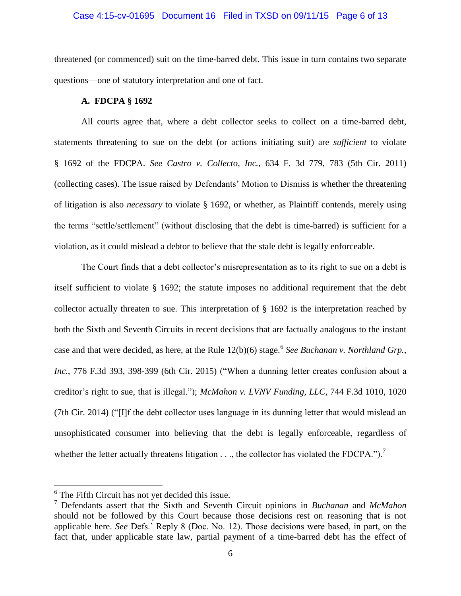#### Case 4:15-cv-01695 Document 16 Filed in TXSD on 09/11/15 Page 6 of 13

threatened (or commenced) suit on the time-barred debt. This issue in turn contains two separate questions—one of statutory interpretation and one of fact.

## **A. FDCPA § 1692**

All courts agree that, where a debt collector seeks to collect on a time-barred debt, statements threatening to sue on the debt (or actions initiating suit) are *sufficient* to violate § 1692 of the FDCPA. *See Castro v. Collecto, Inc.*, 634 F. 3d 779, 783 (5th Cir. 2011) (collecting cases). The issue raised by Defendants' Motion to Dismiss is whether the threatening of litigation is also *necessary* to violate § 1692, or whether, as Plaintiff contends, merely using the terms "settle/settlement" (without disclosing that the debt is time-barred) is sufficient for a violation, as it could mislead a debtor to believe that the stale debt is legally enforceable.

The Court finds that a debt collector's misrepresentation as to its right to sue on a debt is itself sufficient to violate § 1692; the statute imposes no additional requirement that the debt collector actually threaten to sue. This interpretation of § 1692 is the interpretation reached by both the Sixth and Seventh Circuits in recent decisions that are factually analogous to the instant case and that were decided, as here, at the Rule 12(b)(6) stage.<sup>6</sup> See Buchanan v. Northland Grp., *Inc.*, 776 F.3d 393, 398-399 (6th Cir. 2015) ("When a dunning letter creates confusion about a creditor's right to sue, that is illegal."); *McMahon v. LVNV Funding, LLC*, 744 F.3d 1010, 1020 (7th Cir. 2014) ("[I]f the debt collector uses language in its dunning letter that would mislead an unsophisticated consumer into believing that the debt is legally enforceable, regardless of whether the letter actually threatens litigation  $\dots$ , the collector has violated the FDCPA.").<sup>7</sup>

 $6$  The Fifth Circuit has not yet decided this issue.

<sup>7</sup> Defendants assert that the Sixth and Seventh Circuit opinions in *Buchanan* and *McMahon* should not be followed by this Court because those decisions rest on reasoning that is not applicable here. *See* Defs.' Reply 8 (Doc. No. 12). Those decisions were based, in part, on the fact that, under applicable state law, partial payment of a time-barred debt has the effect of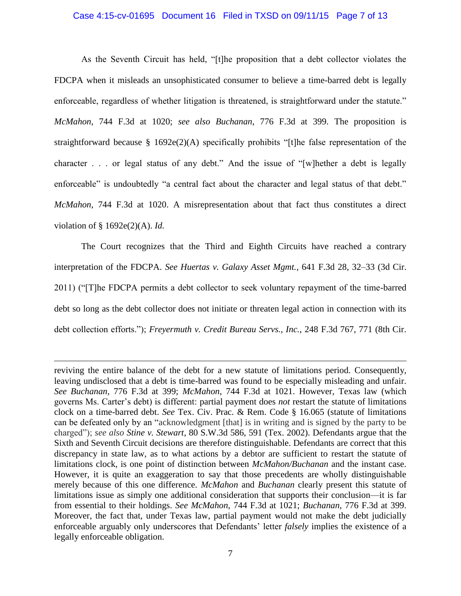### Case 4:15-cv-01695 Document 16 Filed in TXSD on 09/11/15 Page 7 of 13

As the Seventh Circuit has held, "[t]he proposition that a debt collector violates the FDCPA when it misleads an unsophisticated consumer to believe a time-barred debt is legally enforceable, regardless of whether litigation is threatened, is straightforward under the statute." *McMahon*, 744 F.3d at 1020; *see also Buchanan*, 776 F.3d at 399. The proposition is straightforward because § 1692e(2)(A) specifically prohibits "[t]he false representation of the character . . . or legal status of any debt." And the issue of "[w]hether a debt is legally enforceable" is undoubtedly "a central fact about the character and legal status of that debt." *McMahon*, 744 F.3d at 1020. A misrepresentation about that fact thus constitutes a direct violation of § 1692e(2)(A). *Id.* 

The Court recognizes that the Third and Eighth Circuits have reached a contrary interpretation of the FDCPA. *See Huertas v. Galaxy Asset Mgmt.*, 641 F.3d 28, 32–33 (3d Cir. 2011) ("[T]he FDCPA permits a debt collector to seek voluntary repayment of the time-barred debt so long as the debt collector does not initiate or threaten legal action in connection with its debt collection efforts."); *Freyermuth v. Credit Bureau Servs., Inc.*, 248 F.3d 767, 771 (8th Cir.

reviving the entire balance of the debt for a new statute of limitations period. Consequently, leaving undisclosed that a debt is time-barred was found to be especially misleading and unfair. *See Buchanan*, 776 F.3d at 399; *McMahon*, 744 F.3d at 1021. However, Texas law (which governs Ms. Carter's debt) is different: partial payment does *not* restart the statute of limitations clock on a time-barred debt. *See* Tex. Civ. Prac. & Rem. Code § 16.065 (statute of limitations can be defeated only by an "acknowledgment [that] is in writing and is signed by the party to be charged"); *see also Stine v. Stewart*, 80 S.W.3d 586, 591 (Tex. 2002). Defendants argue that the Sixth and Seventh Circuit decisions are therefore distinguishable. Defendants are correct that this discrepancy in state law, as to what actions by a debtor are sufficient to restart the statute of limitations clock, is one point of distinction between *McMahon/Buchanan* and the instant case. However, it is quite an exaggeration to say that those precedents are wholly distinguishable merely because of this one difference. *McMahon* and *Buchanan* clearly present this statute of limitations issue as simply one additional consideration that supports their conclusion—it is far from essential to their holdings. *See McMahon*, 744 F.3d at 1021; *Buchanan*, 776 F.3d at 399. Moreover, the fact that, under Texas law, partial payment would not make the debt judicially enforceable arguably only underscores that Defendants' letter *falsely* implies the existence of a legally enforceable obligation.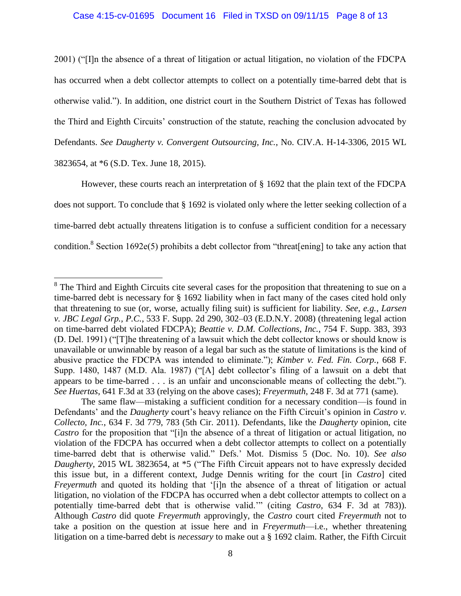## Case 4:15-cv-01695 Document 16 Filed in TXSD on 09/11/15 Page 8 of 13

2001) ("[I]n the absence of a threat of litigation or actual litigation, no violation of the FDCPA has occurred when a debt collector attempts to collect on a potentially time-barred debt that is otherwise valid."). In addition, one district court in the Southern District of Texas has followed the Third and Eighth Circuits' construction of the statute, reaching the conclusion advocated by Defendants. *See Daugherty v. Convergent Outsourcing, Inc.*, No. CIV.A. H-14-3306, 2015 WL 3823654, at \*6 (S.D. Tex. June 18, 2015).

However, these courts reach an interpretation of § 1692 that the plain text of the FDCPA does not support. To conclude that § 1692 is violated only where the letter seeking collection of a time-barred debt actually threatens litigation is to confuse a sufficient condition for a necessary condition.<sup>8</sup> Section 1692e(5) prohibits a debt collector from "threat[ening] to take any action that

 $8$  The Third and Eighth Circuits cite several cases for the proposition that threatening to sue on a time-barred debt is necessary for § 1692 liability when in fact many of the cases cited hold only that threatening to sue (or, worse, actually filing suit) is sufficient for liability. *See, e.g.*, *Larsen v. JBC Legal Grp., P.C.*, 533 F. Supp. 2d 290, 302–03 (E.D.N.Y. 2008) (threatening legal action on time-barred debt violated FDCPA); *Beattie v. D.M. Collections, Inc.*, 754 F. Supp. 383, 393 (D. Del. 1991) ("[T]he threatening of a lawsuit which the debt collector knows or should know is unavailable or unwinnable by reason of a legal bar such as the statute of limitations is the kind of abusive practice the FDCPA was intended to eliminate."); *Kimber v. Fed. Fin. Corp.*, 668 F. Supp. 1480, 1487 (M.D. Ala. 1987) ("[A] debt collector's filing of a lawsuit on a debt that appears to be time-barred . . . is an unfair and unconscionable means of collecting the debt."). *See Huertas*, 641 F.3d at 33 (relying on the above cases); *Freyermuth*, 248 F. 3d at 771 (same).

The same flaw—mistaking a sufficient condition for a necessary condition—is found in Defendants' and the *Daugherty* court's heavy reliance on the Fifth Circuit's opinion in *Castro v. Collecto, Inc.*, 634 F. 3d 779, 783 (5th Cir. 2011). Defendants, like the *Daugherty* opinion, cite *Castro* for the proposition that "[i]n the absence of a threat of litigation or actual litigation, no violation of the FDCPA has occurred when a debt collector attempts to collect on a potentially time-barred debt that is otherwise valid." Defs.' Mot. Dismiss 5 (Doc. No. 10). *See also Daugherty*, 2015 WL 3823654, at \*5 ("The Fifth Circuit appears not to have expressly decided this issue but, in a different context, Judge Dennis writing for the court [in *Castro*] cited *Freyermuth* and quoted its holding that '[i]n the absence of a threat of litigation or actual litigation, no violation of the FDCPA has occurred when a debt collector attempts to collect on a potentially time-barred debt that is otherwise valid.'" (citing *Castro*, 634 F. 3d at 783)). Although *Castro* did quote *Freyermuth* approvingly, the *Castro* court cited *Freyermuth* not to take a position on the question at issue here and in *Freyermuth*—i.e., whether threatening litigation on a time-barred debt is *necessary* to make out a § 1692 claim. Rather, the Fifth Circuit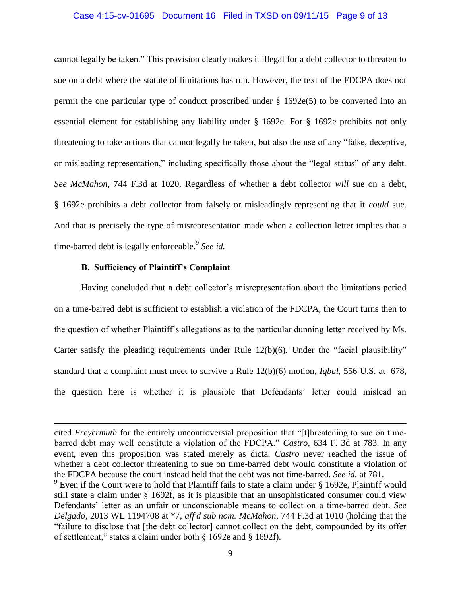### Case 4:15-cv-01695 Document 16 Filed in TXSD on 09/11/15 Page 9 of 13

cannot legally be taken." This provision clearly makes it illegal for a debt collector to threaten to sue on a debt where the statute of limitations has run. However, the text of the FDCPA does not permit the one particular type of conduct proscribed under  $\S 1692e(5)$  to be converted into an essential element for establishing any liability under § 1692e. For § 1692e prohibits not only threatening to take actions that cannot legally be taken, but also the use of any "false, deceptive, or misleading representation," including specifically those about the "legal status" of any debt. *See McMahon*, 744 F.3d at 1020. Regardless of whether a debt collector *will* sue on a debt, § 1692e prohibits a debt collector from falsely or misleadingly representing that it *could* sue. And that is precisely the type of misrepresentation made when a collection letter implies that a time-barred debt is legally enforceable.<sup>9</sup> See id.

### **B. Sufficiency of Plaintiff's Complaint**

 $\overline{a}$ 

Having concluded that a debt collector's misrepresentation about the limitations period on a time-barred debt is sufficient to establish a violation of the FDCPA, the Court turns then to the question of whether Plaintiff's allegations as to the particular dunning letter received by Ms. Carter satisfy the pleading requirements under Rule  $12(b)(6)$ . Under the "facial plausibility" standard that a complaint must meet to survive a Rule 12(b)(6) motion, *Iqbal*, 556 U.S. at 678, the question here is whether it is plausible that Defendants' letter could mislead an

cited *Freyermuth* for the entirely uncontroversial proposition that "[t]hreatening to sue on timebarred debt may well constitute a violation of the FDCPA." *Castro*, 634 F. 3d at 783. In any event, even this proposition was stated merely as dicta. *Castro* never reached the issue of whether a debt collector threatening to sue on time-barred debt would constitute a violation of the FDCPA because the court instead held that the debt was not time-barred. *See id.* at 781.

 $9$  Even if the Court were to hold that Plaintiff fails to state a claim under § 1692e, Plaintiff would still state a claim under § 1692f, as it is plausible that an unsophisticated consumer could view Defendants' letter as an unfair or unconscionable means to collect on a time-barred debt. *See Delgado*, 2013 WL 1194708 at \*7, *aff'd sub nom. McMahon*, 744 F.3d at 1010 (holding that the "failure to disclose that [the debt collector] cannot collect on the debt, compounded by its offer of settlement," states a claim under both § 1692e and § 1692f).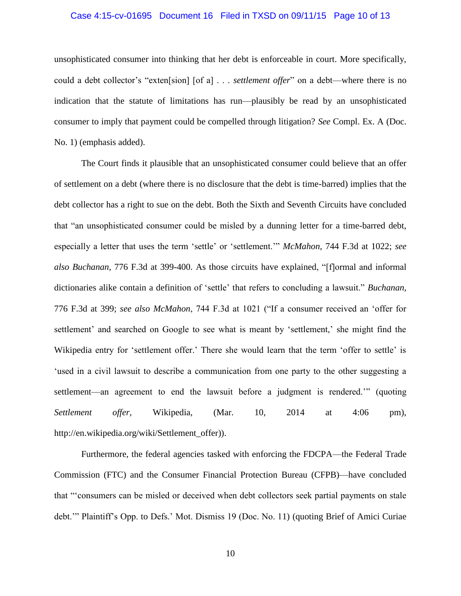### Case 4:15-cv-01695 Document 16 Filed in TXSD on 09/11/15 Page 10 of 13

unsophisticated consumer into thinking that her debt is enforceable in court. More specifically, could a debt collector's "exten[sion] [of a] . . . *settlement offer*" on a debt—where there is no indication that the statute of limitations has run—plausibly be read by an unsophisticated consumer to imply that payment could be compelled through litigation? *See* Compl. Ex. A (Doc. No. 1) (emphasis added).

The Court finds it plausible that an unsophisticated consumer could believe that an offer of settlement on a debt (where there is no disclosure that the debt is time-barred) implies that the debt collector has a right to sue on the debt. Both the Sixth and Seventh Circuits have concluded that "an unsophisticated consumer could be misled by a dunning letter for a time-barred debt, especially a letter that uses the term 'settle' or 'settlement.'" *McMahon*, 744 F.3d at 1022; *see also Buchanan*, 776 F.3d at 399-400. As those circuits have explained, "[f]ormal and informal dictionaries alike contain a definition of 'settle' that refers to concluding a lawsuit." *Buchanan*, 776 F.3d at 399; *see also McMahon*, 744 F.3d at 1021 ("If a consumer received an 'offer for settlement' and searched on Google to see what is meant by 'settlement,' she might find the Wikipedia entry for 'settlement offer.' There she would learn that the term 'offer to settle' is 'used in a civil lawsuit to describe a communication from one party to the other suggesting a settlement—an agreement to end the lawsuit before a judgment is rendered.'" (quoting *Settlement offer*, Wikipedia, (Mar. 10, 2014 at 4:06 pm), http://en.wikipedia.org/wiki/Settlement\_offer)).

Furthermore, the federal agencies tasked with enforcing the FDCPA—the Federal Trade Commission (FTC) and the Consumer Financial Protection Bureau (CFPB)—have concluded that "'consumers can be misled or deceived when debt collectors seek partial payments on stale debt.'" Plaintiff's Opp. to Defs.' Mot. Dismiss 19 (Doc. No. 11) (quoting Brief of Amici Curiae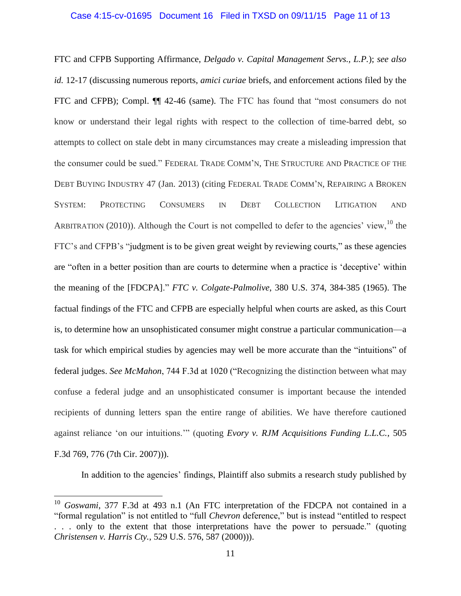### Case 4:15-cv-01695 Document 16 Filed in TXSD on 09/11/15 Page 11 of 13

FTC and CFPB Supporting Affirmance, *Delgado v. Capital Management Servs., L.P.*); *see also id.* 12-17 (discussing numerous reports, *amici curiae* briefs, and enforcement actions filed by the FTC and CFPB); Compl. ¶¶ 42-46 (same). The FTC has found that "most consumers do not know or understand their legal rights with respect to the collection of time-barred debt, so attempts to collect on stale debt in many circumstances may create a misleading impression that the consumer could be sued." FEDERAL TRADE COMM'N, THE STRUCTURE AND PRACTICE OF THE DEBT BUYING INDUSTRY 47 (Jan. 2013) (citing FEDERAL TRADE COMM'N, REPAIRING A BROKEN SYSTEM: PROTECTING CONSUMERS IN DEBT COLLECTION LITIGATION AND ARBITRATION (2010)). Although the Court is not compelled to defer to the agencies' view,  $^{10}$  the FTC's and CFPB's "judgment is to be given great weight by reviewing courts," as these agencies are "often in a better position than are courts to determine when a practice is 'deceptive' within the meaning of the [FDCPA]." *FTC v. Colgate-Palmolive*, 380 U.S. 374, 384-385 (1965). The factual findings of the FTC and CFPB are especially helpful when courts are asked, as this Court is, to determine how an unsophisticated consumer might construe a particular communication—a task for which empirical studies by agencies may well be more accurate than the "intuitions" of federal judges. *See McMahon*, 744 F.3d at 1020 ("Recognizing the distinction between what may confuse a federal judge and an unsophisticated consumer is important because the intended recipients of dunning letters span the entire range of abilities. We have therefore cautioned against reliance 'on our intuitions.'" (quoting *Evory v. RJM Acquisitions Funding L.L.C.*, 505 F.3d 769, 776 (7th Cir. 2007))).

In addition to the agencies' findings, Plaintiff also submits a research study published by

<sup>10</sup> *Goswami*, 377 F.3d at 493 n.1 (An FTC interpretation of the FDCPA not contained in a "formal regulation" is not entitled to "full *Chevron* deference," but is instead "entitled to respect . . . only to the extent that those interpretations have the power to persuade." (quoting *Christensen v. Harris Cty.*, 529 U.S. 576, 587 (2000))).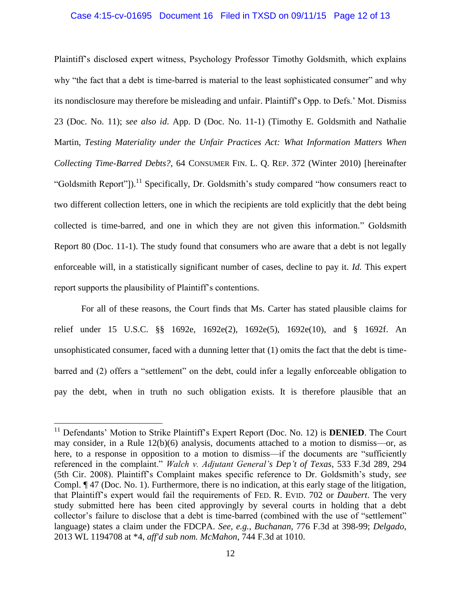### Case 4:15-cv-01695 Document 16 Filed in TXSD on 09/11/15 Page 12 of 13

Plaintiff's disclosed expert witness, Psychology Professor Timothy Goldsmith, which explains why "the fact that a debt is time-barred is material to the least sophisticated consumer" and why its nondisclosure may therefore be misleading and unfair. Plaintiff's Opp. to Defs.' Mot. Dismiss 23 (Doc. No. 11); *see also id*. App. D (Doc. No. 11-1) (Timothy E. Goldsmith and Nathalie Martin, *Testing Materiality under the Unfair Practices Act: What Information Matters When Collecting Time-Barred Debts?*, 64 CONSUMER FIN. L. Q. REP. 372 (Winter 2010) [hereinafter "Goldsmith Report"]).<sup>11</sup> Specifically, Dr. Goldsmith's study compared "how consumers react to two different collection letters, one in which the recipients are told explicitly that the debt being collected is time-barred, and one in which they are not given this information." Goldsmith Report 80 (Doc. 11-1). The study found that consumers who are aware that a debt is not legally enforceable will, in a statistically significant number of cases, decline to pay it. *Id.* This expert report supports the plausibility of Plaintiff's contentions.

For all of these reasons, the Court finds that Ms. Carter has stated plausible claims for relief under 15 U.S.C. §§ 1692e, 1692e(2), 1692e(5), 1692e(10), and § 1692f. An unsophisticated consumer, faced with a dunning letter that (1) omits the fact that the debt is timebarred and (2) offers a "settlement" on the debt, could infer a legally enforceable obligation to pay the debt, when in truth no such obligation exists. It is therefore plausible that an

<sup>&</sup>lt;sup>11</sup> Defendants' Motion to Strike Plaintiff's Expert Report (Doc. No. 12) is **DENIED**. The Court may consider, in a Rule 12(b)(6) analysis, documents attached to a motion to dismiss—or, as here, to a response in opposition to a motion to dismiss—if the documents are "sufficiently" referenced in the complaint." *Walch v. Adjutant General's Dep't of Texas*, 533 F.3d 289, 294 (5th Cir. 2008). Plaintiff's Complaint makes specific reference to Dr. Goldsmith's study, *see*  Compl. ¶ 47 (Doc. No. 1). Furthermore, there is no indication, at this early stage of the litigation, that Plaintiff's expert would fail the requirements of FED. R. EVID. 702 or *Daubert*. The very study submitted here has been cited approvingly by several courts in holding that a debt collector's failure to disclose that a debt is time-barred (combined with the use of "settlement" language) states a claim under the FDCPA. *See, e.g.*, *Buchanan*, 776 F.3d at 398-99; *Delgado*, 2013 WL 1194708 at \*4, *aff'd sub nom. McMahon*, 744 F.3d at 1010.